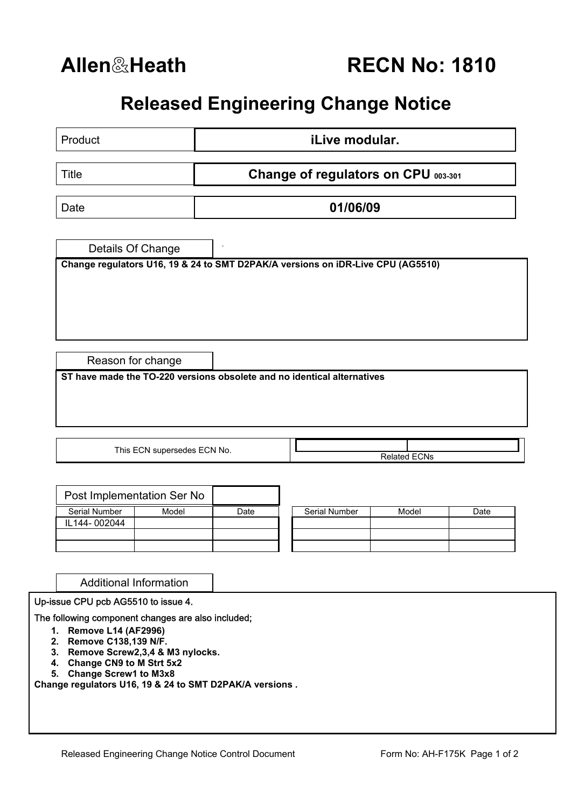## **Released Engineering Change Notice**

| Product                                                                 | <i>iLive modular.</i> |                                                                                 |  |  |  |  |
|-------------------------------------------------------------------------|-----------------------|---------------------------------------------------------------------------------|--|--|--|--|
| <b>Title</b>                                                            |                       | Change of regulators on CPU 003-301                                             |  |  |  |  |
| Date                                                                    |                       | 01/06/09                                                                        |  |  |  |  |
| Details Of Change                                                       |                       |                                                                                 |  |  |  |  |
|                                                                         |                       | Change regulators U16, 19 & 24 to SMT D2PAK/A versions on iDR-Live CPU (AG5510) |  |  |  |  |
|                                                                         |                       |                                                                                 |  |  |  |  |
|                                                                         |                       |                                                                                 |  |  |  |  |
| Reason for change                                                       |                       |                                                                                 |  |  |  |  |
| ST have made the TO-220 versions obsolete and no identical alternatives |                       |                                                                                 |  |  |  |  |
|                                                                         |                       |                                                                                 |  |  |  |  |
| This ECN supersedes ECN No.                                             |                       | <b>Related ECNs</b>                                                             |  |  |  |  |

|               | Post Implementation Ser No |      |                      |       |      |  |
|---------------|----------------------------|------|----------------------|-------|------|--|
| Serial Number | Model                      | Date | <b>Serial Number</b> | Model | Date |  |
| IL144-002044  |                            |      |                      |       |      |  |
|               |                            |      |                      |       |      |  |
|               |                            |      |                      |       |      |  |

| Serial Number | Model | Date |  |  |  |
|---------------|-------|------|--|--|--|
|               |       |      |  |  |  |
|               |       |      |  |  |  |
|               |       |      |  |  |  |
|               |       |      |  |  |  |
|               |       |      |  |  |  |

Additional Information

Up-issue CPU pcb AG5510 to issue 4.

## The following component changes are also included;

- **1. Remove L14 (AF2996)**
- **2. Remove C138,139 N/F.**
- **3. Remove Screw2,3,4 & M3 nylocks.**
- **4. Change CN9 to M Strt 5x2**
- **5. Change Screw1 to M3x8**

**Change regulators U16, 19 & 24 to SMT D2PAK/A versions .**